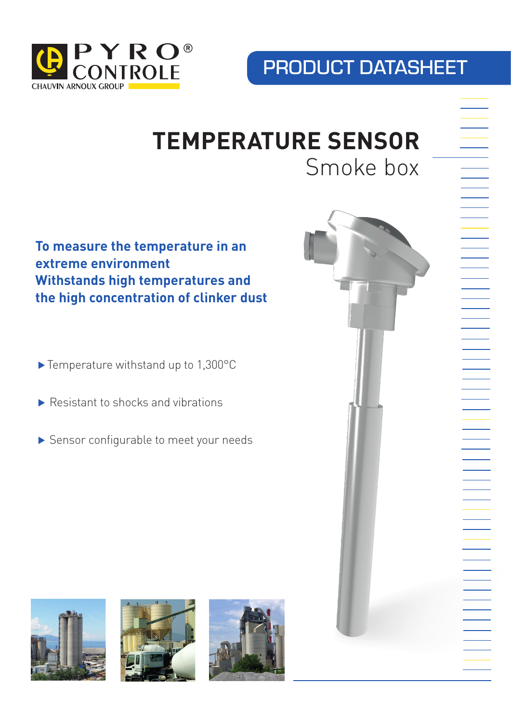

## PRODUCT DATASHEET

# **TEMPERATURE SENSOR** Smoke box

## **To measure the temperature in an extreme environment Withstands high temperatures and the high concentration of clinker dust**

- ⊲ Temperature withstand up to 1,300°C
- ► Resistant to shocks and vibrations
- ▶ Sensor configurable to meet your needs